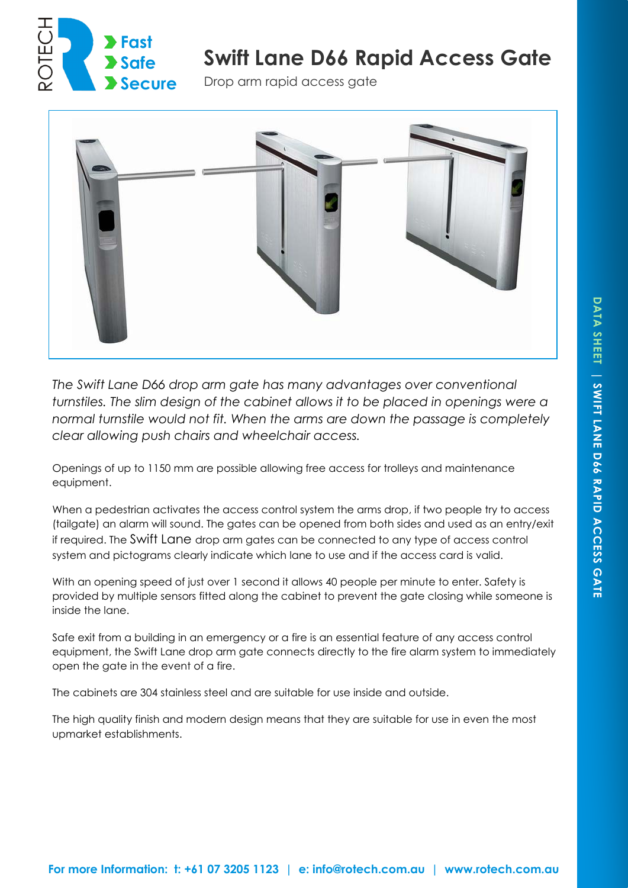

# **Swift Lane D66 Rapid Access Gate**

Drop arm rapid access gate



*The Swift Lane D66 drop arm gate has many advantages over conventional turnstiles. The slim design of the cabinet allows it to be placed in openings were a normal turnstile would not fit. When the arms are down the passage is completely clear allowing push chairs and wheelchair access.* 

Openings of up to 1150 mm are possible allowing free access for trolleys and maintenance equipment.

When a pedestrian activates the access control system the arms drop, if two people try to access (tailgate) an alarm will sound. The gates can be opened from both sides and used as an entry/exit if required. The Swift Lane drop arm gates can be connected to any type of access control system and pictograms clearly indicate which lane to use and if the access card is valid.

With an opening speed of just over 1 second it allows 40 people per minute to enter. Safety is provided by multiple sensors fitted along the cabinet to prevent the gate closing while someone is inside the lane.

Safe exit from a building in an emergency or a fire is an essential feature of any access control equipment, the Swift Lane drop arm gate connects directly to the fire alarm system to immediately open the gate in the event of a fire.

The cabinets are 304 stainless steel and are suitable for use inside and outside.

The high quality finish and modern design means that they are suitable for use in even the most upmarket establishments.